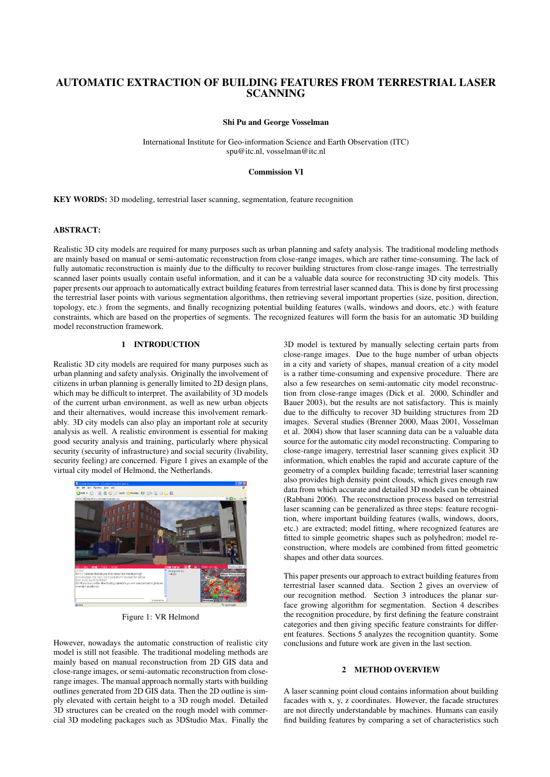# AUTOMATIC EXTRACTION OF BUILDING FEATURES FROM TERRESTRIAL LASER **SCANNING**

Shi Pu and George Vosselman

International Institute for Geo-information Science and Earth Observation (ITC) spu@itc.nl, vosselman@itc.nl

# Commission VI

KEY WORDS: 3D modeling, terrestrial laser scanning, segmentation, feature recognition

# ABSTRACT:

Realistic 3D city models are required for many purposes such as urban planning and safety analysis. The traditional modeling methods are mainly based on manual or semi-automatic reconstruction from close-range images, which are rather time-consuming. The lack of fully automatic reconstruction is mainly due to the difficulty to recover building structures from close-range images. The terrestrially scanned laser points usually contain useful information, and it can be a valuable data source for reconstructing 3D city models. This paper presents our approach to automatically extract building features from terrestrial laser scanned data. This is done by first processing the terrestrial laser points with various segmentation algorithms, then retrieving several important properties (size, position, direction, topology, etc.) from the segments, and finally recognizing potential building features (walls, windows and doors, etc.) with feature constraints, which are based on the properties of segments. The recognized features will form the basis for an automatic 3D building model reconstruction framework.

# 1 INTRODUCTION

Realistic 3D city models are required for many purposes such as urban planning and safety analysis. Originally the involvement of citizens in urban planning is generally limited to 2D design plans, which may be difficult to interpret. The availability of 3D models of the current urban environment, as well as new urban objects and their alternatives, would increase this involvement remarkably. 3D city models can also play an important role at security analysis as well. A realistic environment is essential for making good security analysis and training, particularly where physical security (security of infrastructure) and social security (livability, security feeling) are concerned. Figure 1 gives an example of the virtual city model of Helmond, the Netherlands.



Figure 1: VR Helmond

However, nowadays the automatic construction of realistic city model is still not feasible. The traditional modeling methods are mainly based on manual reconstruction from 2D GIS data and close-range images, or semi-automatic reconstruction from closerange images. The manual approach normally starts with building outlines generated from 2D GIS data. Then the 2D outline is simply elevated with certain height to a 3D rough model. Detailed 3D structures can be created on the rough model with commercial 3D modeling packages such as 3DStudio Max. Finally the

3D model is textured by manually selecting certain parts from close-range images. Due to the huge number of urban objects in a city and variety of shapes, manual creation of a city model is a rather time-consuming and expensive procedure. There are also a few researches on semi-automatic city model reconstruction from close-range images (Dick et al. 2000, Schindler and Bauer 2003), but the results are not satisfactory. This is mainly due to the difficulty to recover 3D building structures from 2D images. Several studies (Brenner 2000, Maas 2001, Vosselman et al. 2004) show that laser scanning data can be a valuable data source for the automatic city model reconstructing. Comparing to close-range imagery, terrestrial laser scanning gives explicit 3D information, which enables the rapid and accurate capture of the geometry of a complex building facade; terrestrial laser scanning also provides high density point clouds, which gives enough raw data from which accurate and detailed 3D models can be obtained (Rabbani 2006). The reconstruction process based on terrestrial laser scanning can be generalized as three steps: feature recognition, where important building features (walls, windows, doors, etc.) are extracted; model fitting, where recognized features are fitted to simple geometric shapes such as polyhedron; model reconstruction, where models are combined from fitted geometric shapes and other data sources.

This paper presents our approach to extract building features from terrestrial laser scanned data. Section 2 gives an overview of our recognition method. Section 3 introduces the planar surface growing algorithm for segmentation. Section 4 describes the recognition procedure, by first defining the feature constraint categories and then giving specific feature constraints for different features. Sections 5 analyzes the recognition quantity. Some conclusions and future work are given in the last section.

# 2 METHOD OVERVIEW

A laser scanning point cloud contains information about building facades with x, y, z coordinates. However, the facade structures are not directly understandable by machines. Humans can easily find building features by comparing a set of characteristics such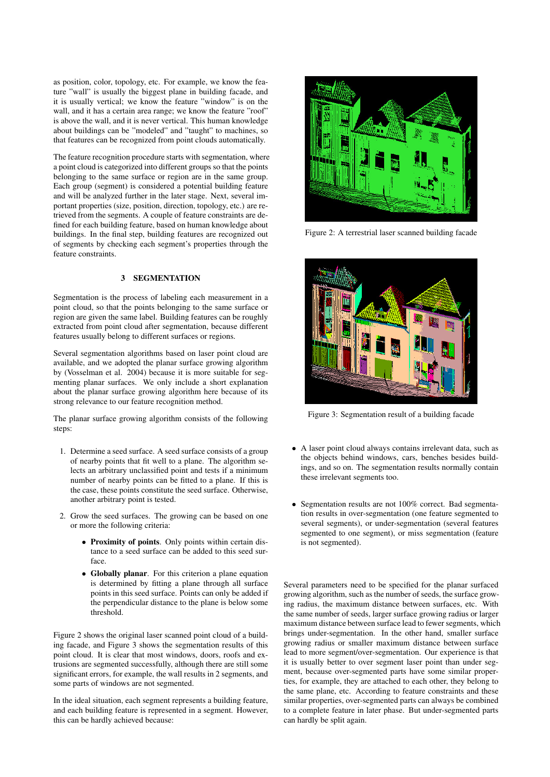as position, color, topology, etc. For example, we know the feature "wall" is usually the biggest plane in building facade, and it is usually vertical; we know the feature "window" is on the wall, and it has a certain area range; we know the feature "roof" is above the wall, and it is never vertical. This human knowledge about buildings can be "modeled" and "taught" to machines, so that features can be recognized from point clouds automatically.

The feature recognition procedure starts with segmentation, where a point cloud is categorized into different groups so that the points belonging to the same surface or region are in the same group. Each group (segment) is considered a potential building feature and will be analyzed further in the later stage. Next, several important properties (size, position, direction, topology, etc.) are retrieved from the segments. A couple of feature constraints are defined for each building feature, based on human knowledge about buildings. In the final step, building features are recognized out of segments by checking each segment's properties through the feature constraints.

# 3 SEGMENTATION

Segmentation is the process of labeling each measurement in a point cloud, so that the points belonging to the same surface or region are given the same label. Building features can be roughly extracted from point cloud after segmentation, because different features usually belong to different surfaces or regions.

Several segmentation algorithms based on laser point cloud are available, and we adopted the planar surface growing algorithm by (Vosselman et al. 2004) because it is more suitable for segmenting planar surfaces. We only include a short explanation about the planar surface growing algorithm here because of its strong relevance to our feature recognition method.

The planar surface growing algorithm consists of the following steps:

- 1. Determine a seed surface. A seed surface consists of a group of nearby points that fit well to a plane. The algorithm selects an arbitrary unclassified point and tests if a minimum number of nearby points can be fitted to a plane. If this is the case, these points constitute the seed surface. Otherwise, another arbitrary point is tested.
- 2. Grow the seed surfaces. The growing can be based on one or more the following criteria:
	- Proximity of points. Only points within certain distance to a seed surface can be added to this seed surface.
	- Globally planar. For this criterion a plane equation is determined by fitting a plane through all surface points in this seed surface. Points can only be added if the perpendicular distance to the plane is below some threshold.

Figure 2 shows the original laser scanned point cloud of a building facade, and Figure 3 shows the segmentation results of this point cloud. It is clear that most windows, doors, roofs and extrusions are segmented successfully, although there are still some significant errors, for example, the wall results in 2 segments, and some parts of windows are not segmented.

In the ideal situation, each segment represents a building feature, and each building feature is represented in a segment. However, this can be hardly achieved because:



Figure 2: A terrestrial laser scanned building facade



Figure 3: Segmentation result of a building facade

- A laser point cloud always contains irrelevant data, such as the objects behind windows, cars, benches besides buildings, and so on. The segmentation results normally contain these irrelevant segments too.
- Segmentation results are not 100% correct. Bad segmentation results in over-segmentation (one feature segmented to several segments), or under-segmentation (several features segmented to one segment), or miss segmentation (feature is not segmented).

Several parameters need to be specified for the planar surfaced growing algorithm, such as the number of seeds, the surface growing radius, the maximum distance between surfaces, etc. With the same number of seeds, larger surface growing radius or larger maximum distance between surface lead to fewer segments, which brings under-segmentation. In the other hand, smaller surface growing radius or smaller maximum distance between surface lead to more segment/over-segmentation. Our experience is that it is usually better to over segment laser point than under segment, because over-segmented parts have some similar properties, for example, they are attached to each other, they belong to the same plane, etc. According to feature constraints and these similar properties, over-segmented parts can always be combined to a complete feature in later phase. But under-segmented parts can hardly be split again.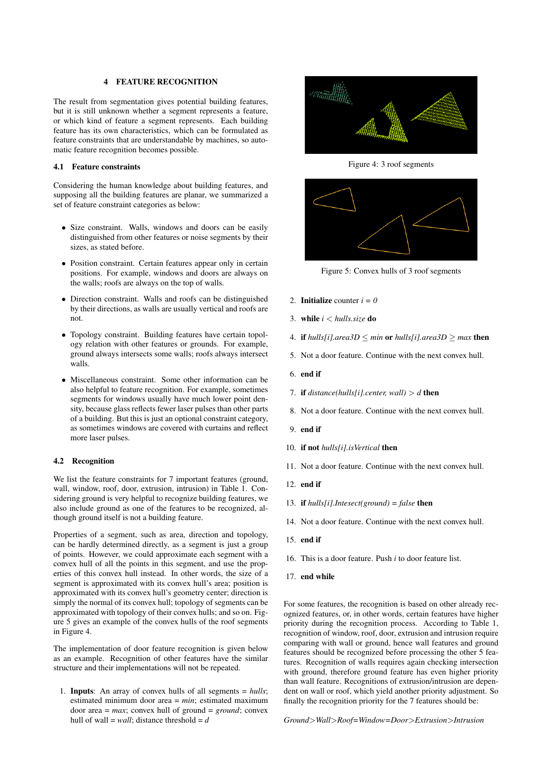#### 4 FEATURE RECOGNITION

The result from segmentation gives potential building features, but it is still unknown whether a segment represents a feature, or which kind of feature a segment represents. Each building feature has its own characteristics, which can be formulated as feature constraints that are understandable by machines, so automatic feature recognition becomes possible.

#### 4.1 Feature constraints

Considering the human knowledge about building features, and supposing all the building features are planar, we summarized a set of feature constraint categories as below:

- Size constraint. Walls, windows and doors can be easily distinguished from other features or noise segments by their sizes, as stated before.
- Position constraint. Certain features appear only in certain positions. For example, windows and doors are always on the walls; roofs are always on the top of walls.
- Direction constraint. Walls and roofs can be distinguished by their directions, as walls are usually vertical and roofs are not.
- Topology constraint. Building features have certain topology relation with other features or grounds. For example, ground always intersects some walls; roofs always intersect walls.
- Miscellaneous constraint. Some other information can be also helpful to feature recognition. For example, sometimes segments for windows usually have much lower point density, because glass reflects fewer laser pulses than other parts of a building. But this is just an optional constraint category, as sometimes windows are covered with curtains and reflect more laser pulses.

### 4.2 Recognition

We list the feature constraints for 7 important features (ground, wall, window, roof, door, extrusion, intrusion) in Table 1. Considering ground is very helpful to recognize building features, we also include ground as one of the features to be recognized, although ground itself is not a building feature.

Properties of a segment, such as area, direction and topology, can be hardly determined directly, as a segment is just a group of points. However, we could approximate each segment with a convex hull of all the points in this segment, and use the properties of this convex hull instead. In other words, the size of a segment is approximated with its convex hull's area; position is approximated with its convex hull's geometry center; direction is simply the normal of its convex hull; topology of segments can be approximated with topology of their convex hulls; and so on. Figure 5 gives an example of the convex hulls of the roof segments in Figure 4.

The implementation of door feature recognition is given below as an example. Recognition of other features have the similar structure and their implementations will not be repeated.

1. Inputs: An array of convex hulls of all segments = *hulls*; estimated minimum door area = *min*; estimated maximum door area =  $max$ ; convex hull of ground =  $ground$ ; convex hull of wall =  $wall$ ; distance threshold =  $d$ 



Figure 4: 3 roof segments



Figure 5: Convex hulls of 3 roof segments

- 2. **Initialize** counter  $i = 0$
- 3. while *i* < *hulls.size* do
- 4. if *hulls[i].area3D* ≤ *min* or *hulls[i].area3D* ≥ *max* then
- 5. Not a door feature. Continue with the next convex hull.
- 6. end if
- 7. if  $distance(hulls[i].center, wall) > d$  then
- 8. Not a door feature. Continue with the next convex hull.
- 9. end if
- 10. if not *hulls[i].isVertical* then
- 11. Not a door feature. Continue with the next convex hull.
- 12. end if
- 13. if *hulls[i].Intesect(ground) = false* then
- 14. Not a door feature. Continue with the next convex hull.
- 15. end if
- 16. This is a door feature. Push *i* to door feature list.
- 17. end while

For some features, the recognition is based on other already recognized features, or, in other words, certain features have higher priority during the recognition process. According to Table 1, recognition of window, roof, door, extrusion and intrusion require comparing with wall or ground, hence wall features and ground features should be recognized before processing the other 5 features. Recognition of walls requires again checking intersection with ground, therefore ground feature has even higher priority than wall feature. Recognitions of extrusion/intrusion are dependent on wall or roof, which yield another priority adjustment. So finally the recognition priority for the 7 features should be:

*Ground*>*Wall*>*Roof=Window=Door*>*Extrusion*>*Intrusion*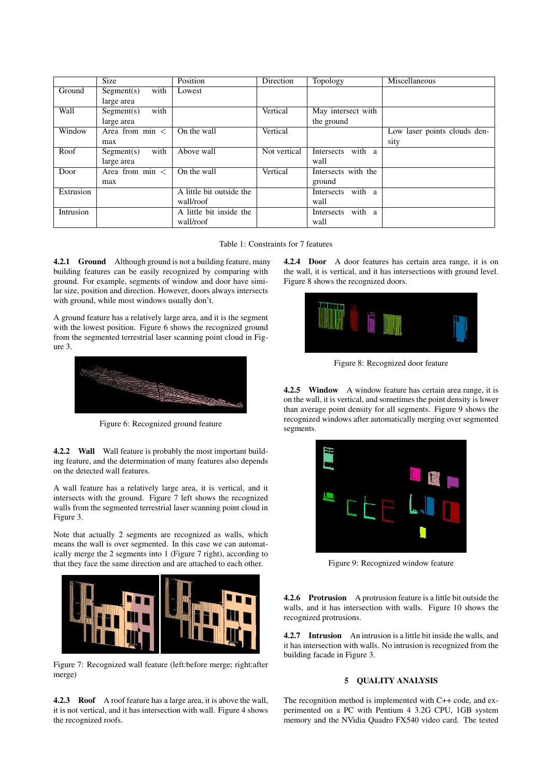|           | <b>Size</b>        | Position                 | Direction    | Topology                                    | Miscellaneous                |
|-----------|--------------------|--------------------------|--------------|---------------------------------------------|------------------------------|
| Ground    | with<br>Segment(s) | Lowest                   |              |                                             |                              |
|           | large area         |                          |              |                                             |                              |
| Wall      | with<br>Segment(s) |                          | Vertical     | May intersect with                          |                              |
|           | large area         |                          |              | the ground                                  |                              |
| Window    | Area from $\min$ < | On the wall              | Vertical     |                                             | Low laser points clouds den- |
|           | max                |                          |              |                                             | sity                         |
| Roof      | with<br>Segment(s) | Above wall               | Not vertical | with<br>Intersects<br><sub>a</sub>          |                              |
|           | large area         |                          |              | wall                                        |                              |
| Door      | Area from $\min$ < | On the wall              | Vertical     | Intersects with the                         |                              |
|           | max                |                          |              | ground                                      |                              |
| Extrusion |                    | A little bit outside the |              | with a<br>Intersects                        |                              |
|           |                    | wall/roof                |              | wall                                        |                              |
| Intrusion |                    | A little bit inside the  |              | with<br><b>Intersects</b><br>$\overline{a}$ |                              |
|           |                    | wall/roof                |              | wall                                        |                              |

Table 1: Constraints for 7 features

4.2.1 Ground Although ground is not a building feature, many building features can be easily recognized by comparing with ground. For example, segments of window and door have similar size, position and direction. However, doors always intersects with ground, while most windows usually don't.

A ground feature has a relatively large area, and it is the segment with the lowest position. Figure 6 shows the recognized ground from the segmented terrestrial laser scanning point cloud in Figure 3.



Figure 6: Recognized ground feature

4.2.2 Wall Wall feature is probably the most important building feature, and the determination of many features also depends on the detected wall features.

A wall feature has a relatively large area, it is vertical, and it intersects with the ground. Figure 7 left shows the recognized walls from the segmented terrestrial laser scanning point cloud in Figure 3.

Note that actually 2 segments are recognized as walls, which means the wall is over segmented. In this case we can automatically merge the 2 segments into 1 (Figure 7 right), according to that they face the same direction and are attached to each other.



Figure 7: Recognized wall feature (left:before merge; right:after merge)

4.2.3 Roof A roof feature has a large area, it is above the wall, it is not vertical, and it has intersection with wall. Figure 4 shows the recognized roofs.

4.2.4 Door A door features has certain area range, it is on the wall, it is vertical, and it has intersections with ground level. Figure 8 shows the recognized doors.



Figure 8: Recognized door feature

4.2.5 Window A window feature has certain area range, it is on the wall, it is vertical, and sometimes the point density is lower than average point density for all segments. Figure 9 shows the recognized windows after automatically merging over segmented segments.



Figure 9: Recognized window feature

4.2.6 Protrusion A protrusion feature is a little bit outside the walls, and it has intersection with walls. Figure 10 shows the recognized protrusions.

4.2.7 Intrusion An intrusion is a little bit inside the walls, and it has intersection with walls. No intrusion is recognized from the building facade in Figure 3.

# 5 QUALITY ANALYSIS

The recognition method is implemented with C++ code, and experimented on a PC with Pentium 4 3.2G CPU, 1GB system memory and the NVidia Quadro FX540 video card. The tested